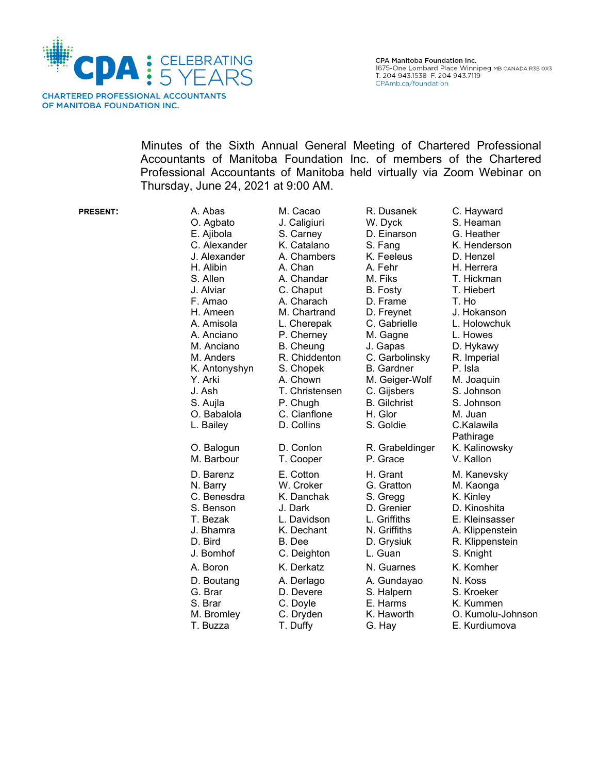

Minutes of the Sixth Annual General Meeting of Chartered Professional Accountants of Manitoba Foundation Inc. of members of the Chartered Professional Accountants of Manitoba held virtually via Zoom Webinar on Thursday, June 24, 2021 at 9:00 AM.

| <b>PRESENT:</b> | A. Abas<br>O. Agbato                                                                                                                                                            | M. Cacao<br>J. Caligiuri                                                                                                                                                            | R. Dusanek<br>W. Dyck                                                                                                                                                           | C. Hayward<br>S. Heaman                                                                                                                                                      |
|-----------------|---------------------------------------------------------------------------------------------------------------------------------------------------------------------------------|-------------------------------------------------------------------------------------------------------------------------------------------------------------------------------------|---------------------------------------------------------------------------------------------------------------------------------------------------------------------------------|------------------------------------------------------------------------------------------------------------------------------------------------------------------------------|
|                 | E. Ajibola<br>C. Alexander<br>J. Alexander<br>H. Alibin<br>S. Allen<br>J. Alviar<br>F. Amao<br>H. Ameen<br>A. Amisola<br>A. Anciano<br>M. Anciano<br>M. Anders<br>K. Antonyshyn | S. Carney<br>K. Catalano<br>A. Chambers<br>A. Chan<br>A. Chandar<br>C. Chaput<br>A. Charach<br>M. Chartrand<br>L. Cherepak<br>P. Cherney<br>B. Cheung<br>R. Chiddenton<br>S. Chopek | D. Einarson<br>S. Fang<br>K. Feeleus<br>A. Fehr<br>M. Fiks<br>B. Fosty<br>D. Frame<br>D. Freynet<br>C. Gabrielle<br>M. Gagne<br>J. Gapas<br>C. Garbolinsky<br><b>B.</b> Gardner | G. Heather<br>K. Henderson<br>D. Henzel<br>H. Herrera<br>T. Hickman<br>T. Hiebert<br>T. Ho<br>J. Hokanson<br>L. Holowchuk<br>L. Howes<br>D. Hykawy<br>R. Imperial<br>P. Isla |
|                 | Y. Arki<br>J. Ash<br>S. Aujla<br>O. Babalola<br>L. Bailey                                                                                                                       | A. Chown<br>T. Christensen<br>P. Chugh<br>C. Cianflone<br>D. Collins                                                                                                                | M. Geiger-Wolf<br>C. Gijsbers<br><b>B.</b> Gilchrist<br>H. Glor<br>S. Goldie                                                                                                    | M. Joaquin<br>S. Johnson<br>S. Johnson<br>M. Juan<br>C.Kalawila<br>Pathirage                                                                                                 |
|                 | O. Balogun<br>M. Barbour                                                                                                                                                        | D. Conlon<br>T. Cooper                                                                                                                                                              | R. Grabeldinger<br>P. Grace                                                                                                                                                     | K. Kalinowsky<br>V. Kallon                                                                                                                                                   |
|                 | D. Barenz<br>N. Barry<br>C. Benesdra<br>S. Benson<br>T. Bezak<br>J. Bhamra<br>D. Bird<br>J. Bomhof                                                                              | E. Cotton<br>W. Croker<br>K. Danchak<br>J. Dark<br>L. Davidson<br>K. Dechant<br>B. Dee<br>C. Deighton                                                                               | H. Grant<br>G. Gratton<br>S. Gregg<br>D. Grenier<br>L. Griffiths<br>N. Griffiths<br>D. Grysiuk<br>L. Guan                                                                       | M. Kanevsky<br>M. Kaonga<br>K. Kinley<br>D. Kinoshita<br>E. Kleinsasser<br>A. Klippenstein<br>R. Klippenstein<br>S. Knight                                                   |
|                 | A. Boron<br>D. Boutang<br>G. Brar<br>S. Brar<br>M. Bromley<br>T. Buzza                                                                                                          | K. Derkatz<br>A. Derlago<br>D. Devere<br>C. Doyle<br>C. Dryden<br>T. Duffy                                                                                                          | N. Guarnes<br>A. Gundayao<br>S. Halpern<br>E. Harms<br>K. Haworth<br>G. Hay                                                                                                     | K. Komher<br>N. Koss<br>S. Kroeker<br>K. Kummen<br>O. Kumolu-Johr<br>E. Kurdiumova                                                                                           |

S. Fang K. Henderson T. Hickman Pathirage<br>K. Kalinowsky L. Griffiths E. Kleinsasser<br>N. Griffiths A. Klippenstein D. Grysiuk R. Klippenstein K. Haworth O. Kumolu-Johnson G. Hay E. Kurdiumova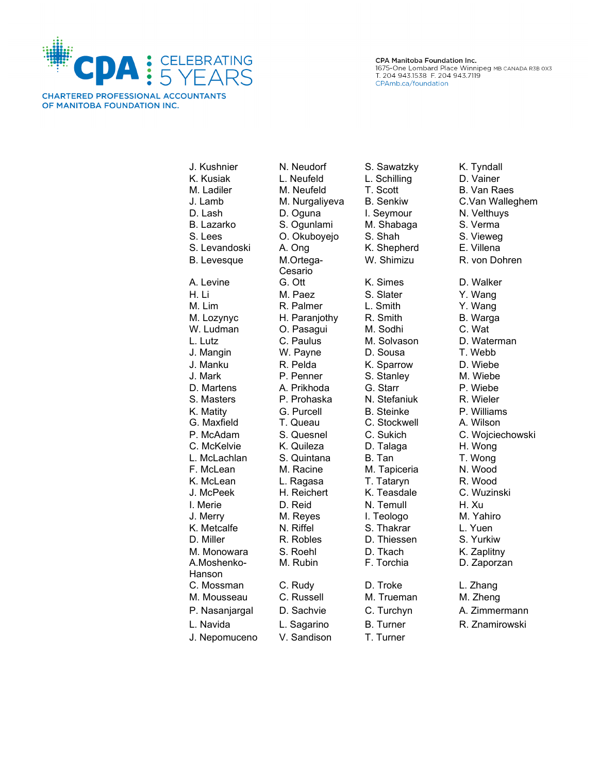

**CHARTERED PROFESSIONAL ACCOUNTANTS** OF MANITOBA FOUNDATION INC.

CPA Manitoba Foundation Inc. 1675-One Lombard Place Winnipeg MB CANADA R3B 0X3 T. 204 943.1538 F. 204 943.7119 CPAmb.ca/foundation

K. Kusiak L. Neufeld L. Schilling D. Vainer M. Ladiler M. Neufeld T. Scott B. Van Raes J. Lamb M. Nurgaliyeva B. Senkiw C.Van Walleghem D. Lash D. Oguna I. Seymour N. Velthuys B. Lazarko S. Ogunlami M. Shabaga S. Verma S. Lees C. Okuboyejo S. Shah S. Vieweg S. Levandoski A. Ong K. Shepherd E. Villena B. Levesque M.Ortega-Cesario A. Levine G. Ott K. Simes D. Walker H. Li M. Paez S. Slater Y. Wang M. Lim R. Palmer L. Smith Y. Wang M. Lozynyc H. Paranjothy R. Smith B. Warga O. Pasagui L. Lutz C. Paulus M. Solvason D. Waterman J. Mangin W. Payne D. Sousa T. Webb J. Manku R. Pelda K. Sparrow D. Wiebe D. Martens A. Prikhoda G. Starr P. Wiebe S. Masters P. Prohaska N. Stefaniuk R. Wieler K. Matity **G. Purcell** B. Steinke **P. Williams** G. Maxfield T. Queau C. Stockwell A. Wilson P. McAdam S. Quesnel C. Sukich C. Wojciechowski C. McKelvie K. Quileza D. Talaga H. Wong L. McLachlan S. Quintana B. Tan T. Wong F. McLean M. Racine M. Tapiceria N. Wood K. McLean L. Ragasa T. Tataryn R. Wood J. McPeek H. Reichert K. Teasdale C. Wuzinski I. Merie **D. Reid** N. Temull H. Xu J. Merry M. Reyes I. Teologo M. Yahiro K. Metcalfe M. Riffel S. Thakrar L. Yuen D. Miller **R. Robles** D. Thiessen S. Yurkiw M. Monowara S. Roehl D. Tkach K. Zaplitny A.Moshenko-Hanson C. Mossman C. Rudy D. Troke L. Zhang M. Mousseau C. Russell M. Trueman M. Zheng P. Nasanjargal D. Sachvie C. Turchyn A. Zimmermann L. Navida L. Sagarino B. Turner R. Znamirowski J. Nepomuceno V. Sandison T. Turner

J. Kushnier M. Neudorf S. Sawatzky K. Tyndall

S. Stanley

W. Shimizu R. von Dohren M. Rubin F. Torchia D. Zaporzan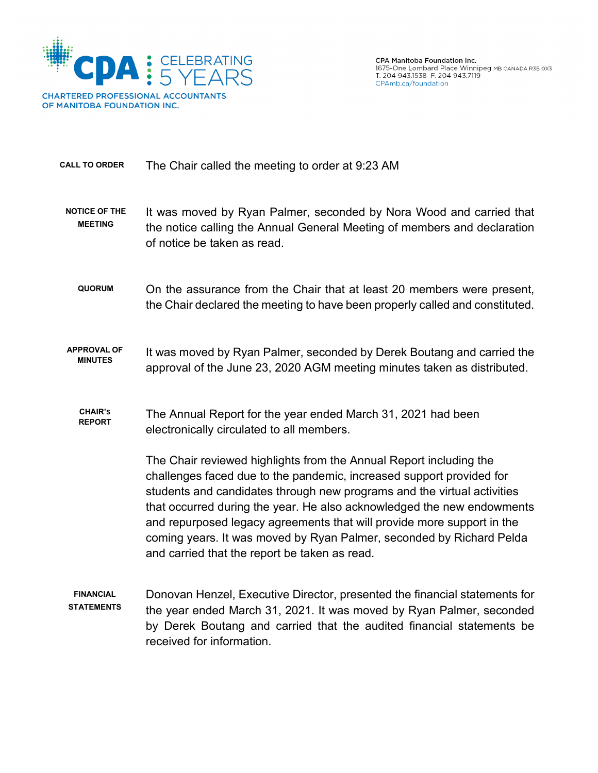

**CALL TO ORDER** The Chair called the meeting to order at 9:23 AM

- **NOTICE OF THE MEETING** It was moved by Ryan Palmer, seconded by Nora Wood and carried that the notice calling the Annual General Meeting of members and declaration of notice be taken as read.
	- **QUORUM** On the assurance from the Chair that at least 20 members were present, the Chair declared the meeting to have been properly called and constituted.
- **APPROVAL OF** PROVAL OF It was moved by Ryan Palmer, seconded by Derek Boutang and carried the MINUTES approval of the June 23, 2020 AGM meeting minutes taken as distributed.
	- **CHAIR'S REPORT** The Annual Report for the year ended March 31, 2021 had been electronically circulated to all members.

The Chair reviewed highlights from the Annual Report including the challenges faced due to the pandemic, increased support provided for students and candidates through new programs and the virtual activities that occurred during the year. He also acknowledged the new endowments and repurposed legacy agreements that will provide more support in the coming years. It was moved by Ryan Palmer, seconded by Richard Pelda and carried that the report be taken as read.

**FINANCIAL STATEMENTS** Donovan Henzel, Executive Director, presented the financial statements for the year ended March 31, 2021. It was moved by Ryan Palmer, seconded by Derek Boutang and carried that the audited financial statements be received for information.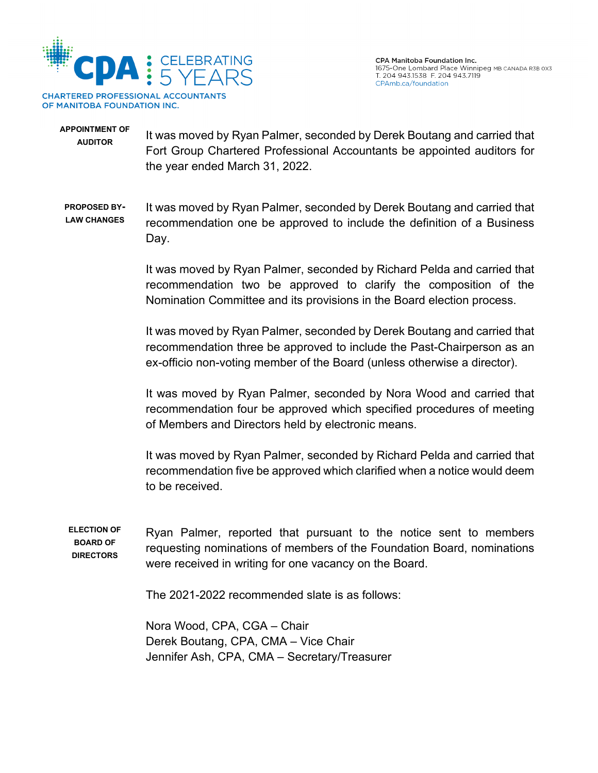

## **APPOINTMENT OF**  AUDITOR It was moved by Ryan Palmer, seconded by Derek Boutang and carried that Fort Group Chartered Professional Accountants be appointed auditors for the year ended March 31, 2022.

**PROPOSED BY-LAW CHANGES**  It was moved by Ryan Palmer, seconded by Derek Boutang and carried that recommendation one be approved to include the definition of a Business Day.

> It was moved by Ryan Palmer, seconded by Richard Pelda and carried that recommendation two be approved to clarify the composition of the Nomination Committee and its provisions in the Board election process.

> It was moved by Ryan Palmer, seconded by Derek Boutang and carried that recommendation three be approved to include the Past-Chairperson as an ex-officio non-voting member of the Board (unless otherwise a director).

> It was moved by Ryan Palmer, seconded by Nora Wood and carried that recommendation four be approved which specified procedures of meeting of Members and Directors held by electronic means.

> It was moved by Ryan Palmer, seconded by Richard Pelda and carried that recommendation five be approved which clarified when a notice would deem to be received.

**ELECTION OF BOARD OF DIRECTORS** Ryan Palmer, reported that pursuant to the notice sent to members requesting nominations of members of the Foundation Board, nominations were received in writing for one vacancy on the Board.

The 2021-2022 recommended slate is as follows:

Nora Wood, CPA, CGA – Chair Derek Boutang, CPA, CMA – Vice Chair Jennifer Ash, CPA, CMA – Secretary/Treasurer